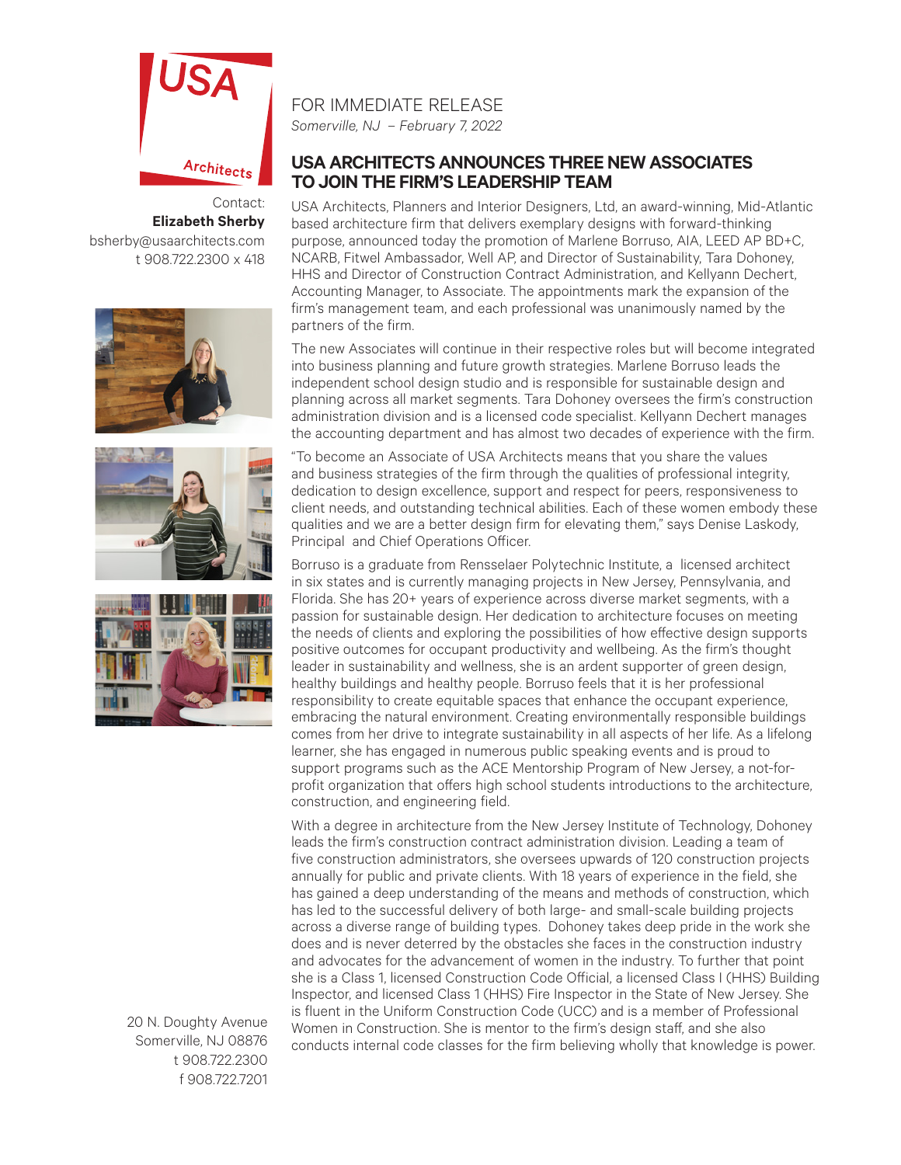

Contact: **Elizabeth Sherby** bsherby@usaarchitects.com t 908.722.2300 x 418







20 N. Doughty Avenue Somerville, NJ 08876 t 908.722.2300 f 908.722.7201

## FOR IMMEDIATE RELEASE

*Somerville, NJ – February 7, 2022*

## **USA ARCHITECTS ANNOUNCES THREE NEW ASSOCIATES TO JOIN THE FIRM'S LEADERSHIP TEAM**

USA Architects, Planners and Interior Designers, Ltd, an award-winning, Mid-Atlantic based architecture firm that delivers exemplary designs with forward-thinking purpose, announced today the promotion of Marlene Borruso, AIA, LEED AP BD+C, NCARB, Fitwel Ambassador, Well AP, and Director of Sustainability, Tara Dohoney, HHS and Director of Construction Contract Administration, and Kellyann Dechert, Accounting Manager, to Associate. The appointments mark the expansion of the firm's management team, and each professional was unanimously named by the partners of the firm.

The new Associates will continue in their respective roles but will become integrated into business planning and future growth strategies. Marlene Borruso leads the independent school design studio and is responsible for sustainable design and planning across all market segments. Tara Dohoney oversees the firm's construction administration division and is a licensed code specialist. Kellyann Dechert manages the accounting department and has almost two decades of experience with the firm.

"To become an Associate of USA Architects means that you share the values and business strategies of the firm through the qualities of professional integrity, dedication to design excellence, support and respect for peers, responsiveness to client needs, and outstanding technical abilities. Each of these women embody these qualities and we are a better design firm for elevating them," says Denise Laskody, Principal and Chief Operations Officer.

Borruso is a graduate from Rensselaer Polytechnic Institute, a licensed architect in six states and is currently managing projects in New Jersey, Pennsylvania, and Florida. She has 20+ years of experience across diverse market segments, with a passion for sustainable design. Her dedication to architecture focuses on meeting the needs of clients and exploring the possibilities of how effective design supports positive outcomes for occupant productivity and wellbeing. As the firm's thought leader in sustainability and wellness, she is an ardent supporter of green design, healthy buildings and healthy people. Borruso feels that it is her professional responsibility to create equitable spaces that enhance the occupant experience, embracing the natural environment. Creating environmentally responsible buildings comes from her drive to integrate sustainability in all aspects of her life. As a lifelong learner, she has engaged in numerous public speaking events and is proud to support programs such as the ACE Mentorship Program of New Jersey, a not-forprofit organization that offers high school students introductions to the architecture, construction, and engineering field.

With a degree in architecture from the New Jersey Institute of Technology, Dohoney leads the firm's construction contract administration division. Leading a team of five construction administrators, she oversees upwards of 120 construction projects annually for public and private clients. With 18 years of experience in the field, she has gained a deep understanding of the means and methods of construction, which has led to the successful delivery of both large- and small-scale building projects across a diverse range of building types. Dohoney takes deep pride in the work she does and is never deterred by the obstacles she faces in the construction industry and advocates for the advancement of women in the industry. To further that point she is a Class 1, licensed Construction Code Official, a licensed Class I (HHS) Building Inspector, and licensed Class 1 (HHS) Fire Inspector in the State of New Jersey. She is fluent in the Uniform Construction Code (UCC) and is a member of Professional Women in Construction. She is mentor to the firm's design staff, and she also conducts internal code classes for the firm believing wholly that knowledge is power.